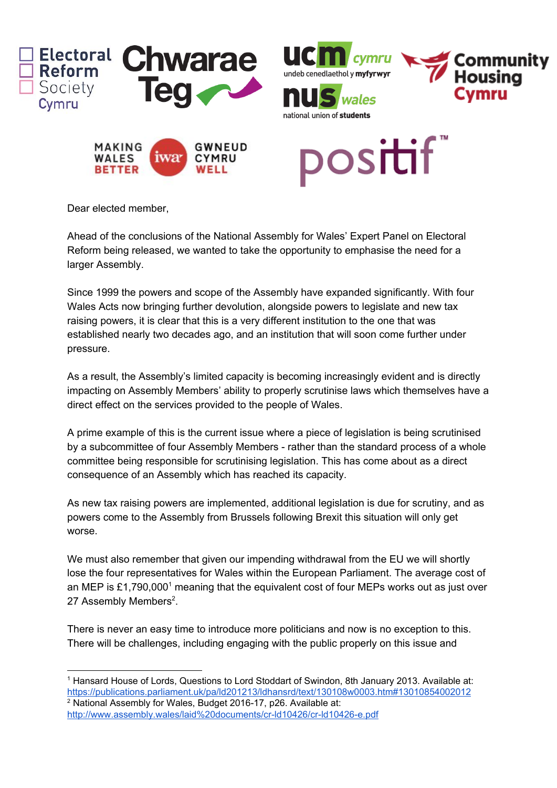

Dear elected member,

Ahead of the conclusions of the National Assembly for Wales' Expert Panel on Electoral Reform being released, we wanted to take the opportunity to emphasise the need for a larger Assembly.

Since 1999 the powers and scope of the Assembly have expanded significantly. With four Wales Acts now bringing further devolution, alongside powers to legislate and new tax raising powers, it is clear that this is a very different institution to the one that was established nearly two decades ago, and an institution that will soon come further under pressure.

As a result, the Assembly's limited capacity is becoming increasingly evident and is directly impacting on Assembly Members' ability to properly scrutinise laws which themselves have a direct effect on the services provided to the people of Wales.

A prime example of this is the current issue where a piece of legislation is being scrutinised by a subcommittee of four Assembly Members - rather than the standard process of a whole committee being responsible for scrutinising legislation. This has come about as a direct consequence of an Assembly which has reached its capacity.

As new tax raising powers are implemented, additional legislation is due for scrutiny, and as powers come to the Assembly from Brussels following Brexit this situation will only get worse.

We must also remember that given our impending withdrawal from the EU we will shortly lose the four representatives for Wales within the European Parliament. The average cost of an MEP is £1,790,000<sup>1</sup> meaning that the equivalent cost of four MEPs works out as just over 27 Assembly Members<sup>2</sup>.

There is never an easy time to introduce more politicians and now is no exception to this. There will be challenges, including engaging with the public properly on this issue and

<sup>1</sup> Hansard House of Lords, Questions to Lord Stoddart of Swindon, 8th January 2013. Available at: <https://publications.parliament.uk/pa/ld201213/ldhansrd/text/130108w0003.htm#13010854002012> <sup>2</sup> National Assembly for Wales, Budget 2016-17, p26. Available at:

<http://www.assembly.wales/laid%20documents/cr-ld10426/cr-ld10426-e.pdf>